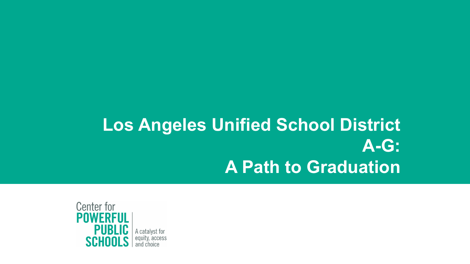# **Los Angeles Unified School District A-G: A Path to Graduation**

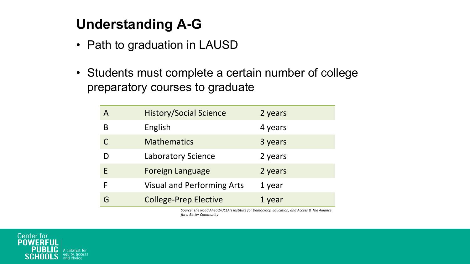# **Understanding A-G**

- Path to graduation in LAUSD
- Students must complete a certain number of college preparatory courses to graduate

| А  | <b>History/Social Science</b>     | 2 years |
|----|-----------------------------------|---------|
| В  | English                           | 4 years |
|    | <b>Mathematics</b>                | 3 years |
|    | Laboratory Science                | 2 years |
| F. | <b>Foreign Language</b>           | 2 years |
|    | <b>Visual and Performing Arts</b> | 1 year  |
| G  | <b>College-Prep Elective</b>      | 1 year  |

Source: The Road Ahead/UCLA's Institute for Democracy, Education, and Access & The Alliance *for a Better Community*

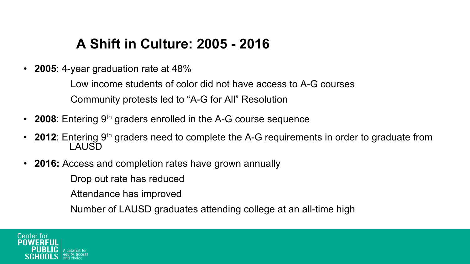#### **A Shift in Culture: 2005 - 2016**

• **2005**: 4-year graduation rate at 48%

Low income students of color did not have access to A-G courses Community protests led to "A-G for All" Resolution

- **2008**: Entering 9<sup>th</sup> graders enrolled in the A-G course sequence
- **2012**: Entering 9<sup>th</sup> graders need to complete the A-G requirements in order to graduate from LAUSD
- **2016:** Access and completion rates have grown annually

Drop out rate has reduced

Attendance has improved

Number of LAUSD graduates attending college at an all-time high

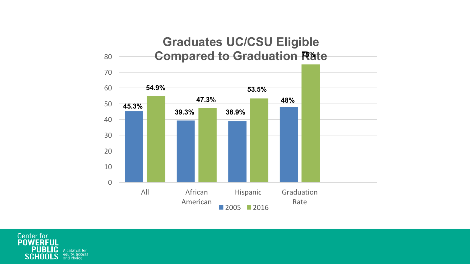

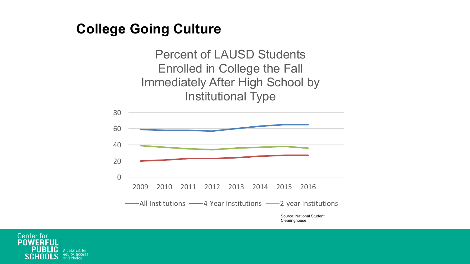#### **College Going Culture**

Percent of LAUSD Students Enrolled in College the Fall Immediately After High School by Institutional Type



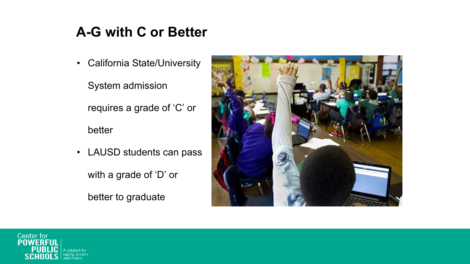## **A-G with C or Better**

• California State/University

System admission

requires a grade of 'C' or

better

• LAUSD students can pass

with a grade of 'D' or

better to graduate



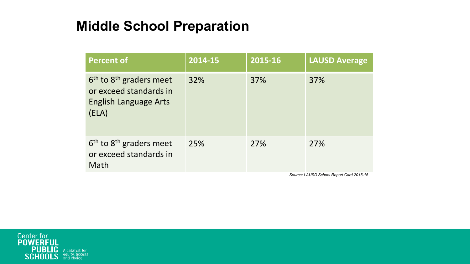## **Middle School Preparation**

| <b>Percent of</b>                                                                              | 2014-15 | 2015-16 | <b>LAUSD Average</b> |
|------------------------------------------------------------------------------------------------|---------|---------|----------------------|
| $6th$ to $8th$ graders meet<br>or exceed standards in<br><b>English Language Arts</b><br>(ELA) | 32%     | 37%     | 37%                  |
| $6th$ to $8th$ graders meet<br>or exceed standards in<br>Math                                  | 25%     | 27%     | 27%                  |

*Source: LAUSD School Report Card 2015-16*

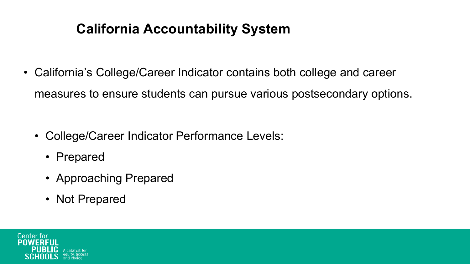## **California Accountability System**

• California's College/Career Indicator contains both college and career measures to ensure students can pursue various postsecondary options.

- College/Career Indicator Performance Levels:
	- Prepared
	- Approaching Prepared
	- Not Prepared